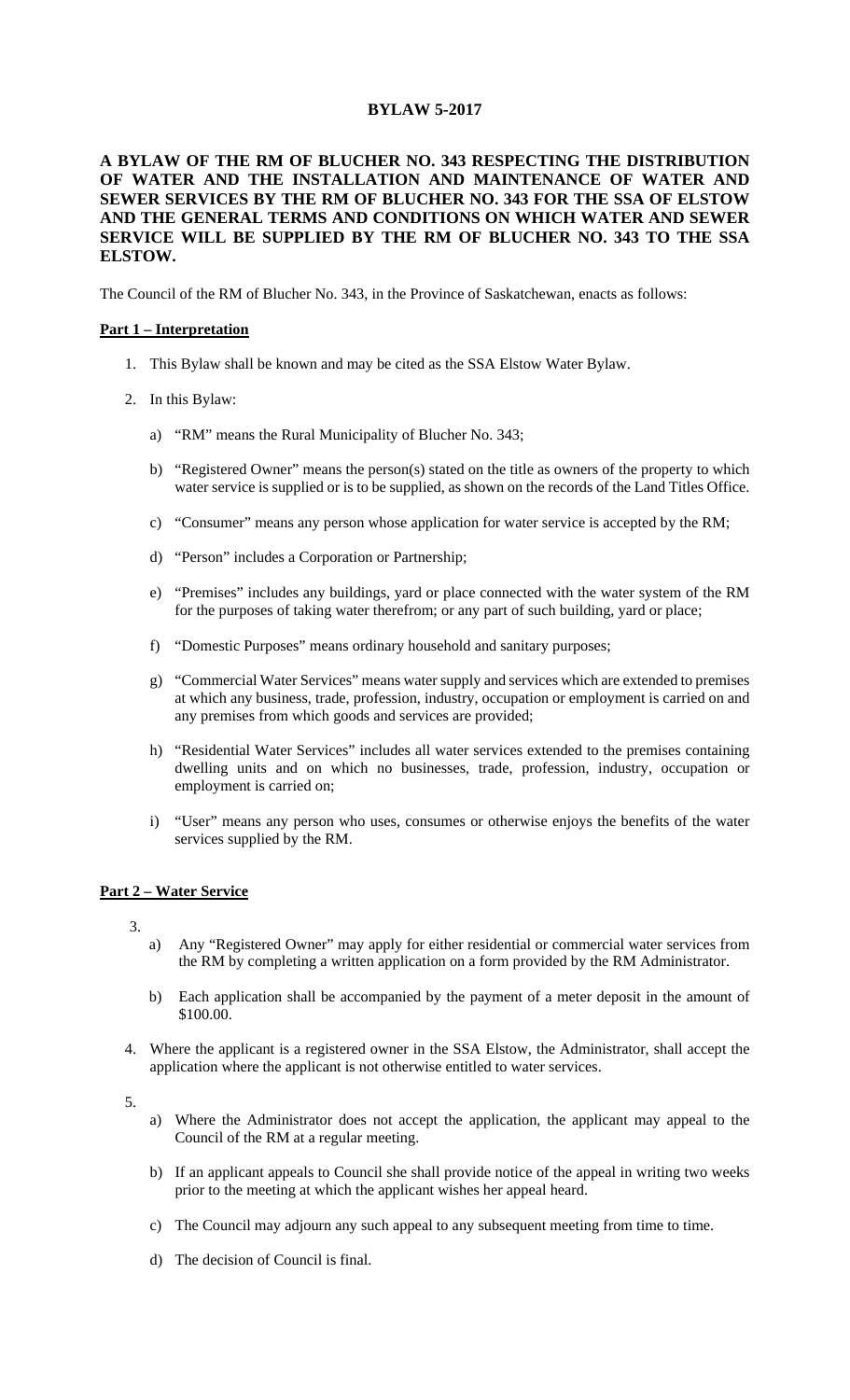# **BYLAW 5-2017**

## **A BYLAW OF THE RM OF BLUCHER NO. 343 RESPECTING THE DISTRIBUTION OF WATER AND THE INSTALLATION AND MAINTENANCE OF WATER AND SEWER SERVICES BY THE RM OF BLUCHER NO. 343 FOR THE SSA OF ELSTOW AND THE GENERAL TERMS AND CONDITIONS ON WHICH WATER AND SEWER SERVICE WILL BE SUPPLIED BY THE RM OF BLUCHER NO. 343 TO THE SSA ELSTOW.**

The Council of the RM of Blucher No. 343, in the Province of Saskatchewan, enacts as follows:

#### **Part 1 – Interpretation**

- 1. This Bylaw shall be known and may be cited as the SSA Elstow Water Bylaw.
- 2. In this Bylaw:
	- a) "RM" means the Rural Municipality of Blucher No. 343;
	- b) "Registered Owner" means the person(s) stated on the title as owners of the property to which water service is supplied or is to be supplied, as shown on the records of the Land Titles Office.
	- c) "Consumer" means any person whose application for water service is accepted by the RM;
	- d) "Person" includes a Corporation or Partnership;
	- e) "Premises" includes any buildings, yard or place connected with the water system of the RM for the purposes of taking water therefrom; or any part of such building, yard or place;
	- f) "Domestic Purposes" means ordinary household and sanitary purposes;
	- g) "Commercial Water Services" means water supply and services which are extended to premises at which any business, trade, profession, industry, occupation or employment is carried on and any premises from which goods and services are provided;
	- h) "Residential Water Services" includes all water services extended to the premises containing dwelling units and on which no businesses, trade, profession, industry, occupation or employment is carried on;
	- i) "User" means any person who uses, consumes or otherwise enjoys the benefits of the water services supplied by the RM.

### **Part 2 – Water Service**

3.

- a) Any "Registered Owner" may apply for either residential or commercial water services from the RM by completing a written application on a form provided by the RM Administrator.
- b) Each application shall be accompanied by the payment of a meter deposit in the amount of \$100.00.
- 4. Where the applicant is a registered owner in the SSA Elstow, the Administrator, shall accept the application where the applicant is not otherwise entitled to water services.

5.

- a) Where the Administrator does not accept the application, the applicant may appeal to the Council of the RM at a regular meeting.
- b) If an applicant appeals to Council she shall provide notice of the appeal in writing two weeks prior to the meeting at which the applicant wishes her appeal heard.
- c) The Council may adjourn any such appeal to any subsequent meeting from time to time.
- d) The decision of Council is final.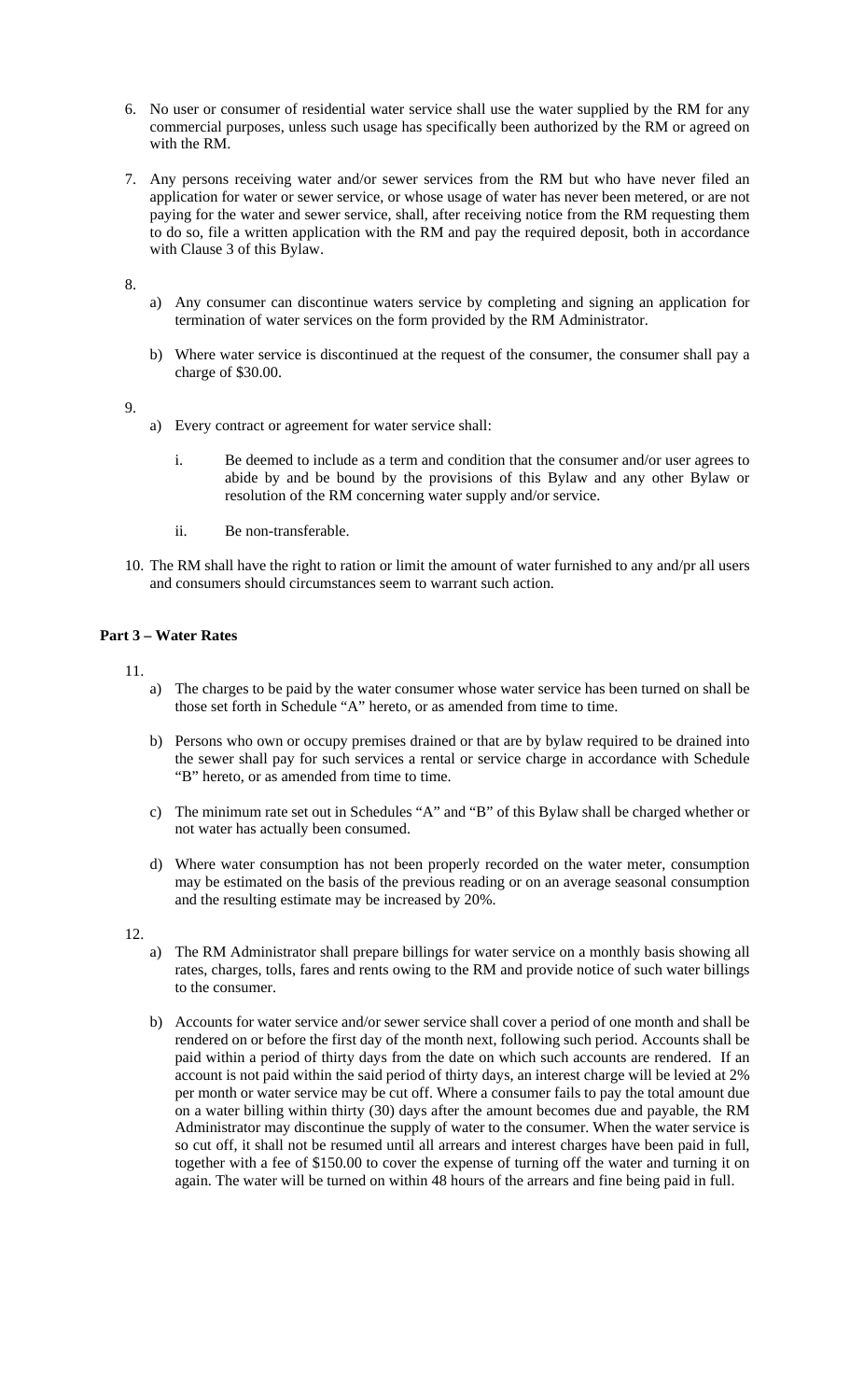- 6. No user or consumer of residential water service shall use the water supplied by the RM for any commercial purposes, unless such usage has specifically been authorized by the RM or agreed on with the RM.
- 7. Any persons receiving water and/or sewer services from the RM but who have never filed an application for water or sewer service, or whose usage of water has never been metered, or are not paying for the water and sewer service, shall, after receiving notice from the RM requesting them to do so, file a written application with the RM and pay the required deposit, both in accordance with Clause 3 of this Bylaw.

8.

- a) Any consumer can discontinue waters service by completing and signing an application for termination of water services on the form provided by the RM Administrator.
- b) Where water service is discontinued at the request of the consumer, the consumer shall pay a charge of \$30.00.

9.

- a) Every contract or agreement for water service shall:
	- i. Be deemed to include as a term and condition that the consumer and/or user agrees to abide by and be bound by the provisions of this Bylaw and any other Bylaw or resolution of the RM concerning water supply and/or service.
	- ii. Be non-transferable.
- 10. The RM shall have the right to ration or limit the amount of water furnished to any and/pr all users and consumers should circumstances seem to warrant such action.

# **Part 3 – Water Rates**

11.

- a) The charges to be paid by the water consumer whose water service has been turned on shall be those set forth in Schedule "A" hereto, or as amended from time to time.
- b) Persons who own or occupy premises drained or that are by bylaw required to be drained into the sewer shall pay for such services a rental or service charge in accordance with Schedule "B" hereto, or as amended from time to time.
- c) The minimum rate set out in Schedules "A" and "B" of this Bylaw shall be charged whether or not water has actually been consumed.
- d) Where water consumption has not been properly recorded on the water meter, consumption may be estimated on the basis of the previous reading or on an average seasonal consumption and the resulting estimate may be increased by 20%.

12.

- a) The RM Administrator shall prepare billings for water service on a monthly basis showing all rates, charges, tolls, fares and rents owing to the RM and provide notice of such water billings to the consumer.
- b) Accounts for water service and/or sewer service shall cover a period of one month and shall be rendered on or before the first day of the month next, following such period. Accounts shall be paid within a period of thirty days from the date on which such accounts are rendered. If an account is not paid within the said period of thirty days, an interest charge will be levied at 2% per month or water service may be cut off. Where a consumer fails to pay the total amount due on a water billing within thirty (30) days after the amount becomes due and payable, the RM Administrator may discontinue the supply of water to the consumer. When the water service is so cut off, it shall not be resumed until all arrears and interest charges have been paid in full, together with a fee of \$150.00 to cover the expense of turning off the water and turning it on again. The water will be turned on within 48 hours of the arrears and fine being paid in full.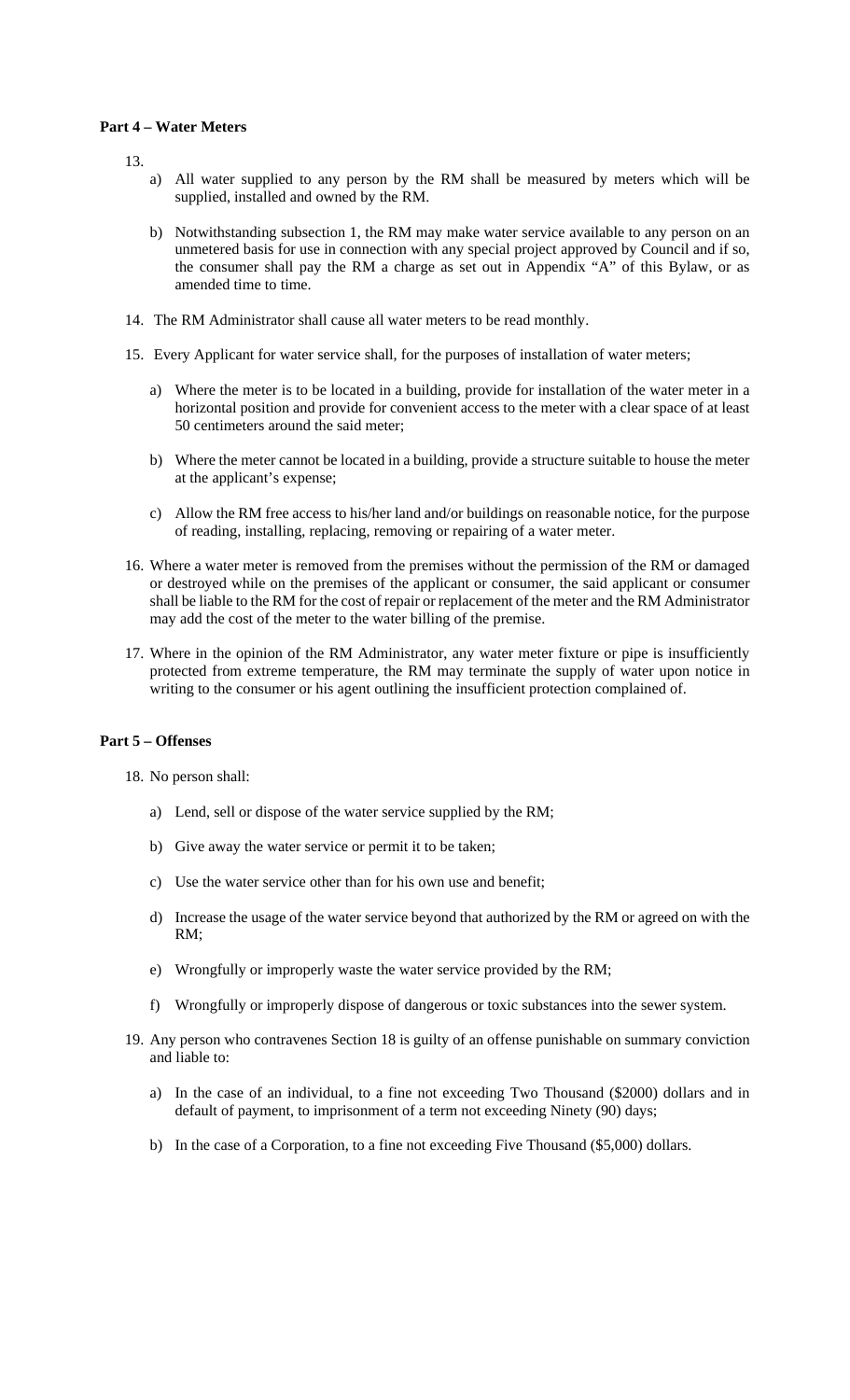### **Part 4 – Water Meters**

13.

- a) All water supplied to any person by the RM shall be measured by meters which will be supplied, installed and owned by the RM.
- b) Notwithstanding subsection 1, the RM may make water service available to any person on an unmetered basis for use in connection with any special project approved by Council and if so, the consumer shall pay the RM a charge as set out in Appendix "A" of this Bylaw, or as amended time to time.
- 14. The RM Administrator shall cause all water meters to be read monthly.
- 15. Every Applicant for water service shall, for the purposes of installation of water meters;
	- a) Where the meter is to be located in a building, provide for installation of the water meter in a horizontal position and provide for convenient access to the meter with a clear space of at least 50 centimeters around the said meter;
	- b) Where the meter cannot be located in a building, provide a structure suitable to house the meter at the applicant's expense;
	- c) Allow the RM free access to his/her land and/or buildings on reasonable notice, for the purpose of reading, installing, replacing, removing or repairing of a water meter.
- 16. Where a water meter is removed from the premises without the permission of the RM or damaged or destroyed while on the premises of the applicant or consumer, the said applicant or consumer shall be liable to the RM for the cost of repair or replacement of the meter and the RM Administrator may add the cost of the meter to the water billing of the premise.
- 17. Where in the opinion of the RM Administrator, any water meter fixture or pipe is insufficiently protected from extreme temperature, the RM may terminate the supply of water upon notice in writing to the consumer or his agent outlining the insufficient protection complained of.

#### **Part 5 – Offenses**

18. No person shall:

- a) Lend, sell or dispose of the water service supplied by the RM;
- b) Give away the water service or permit it to be taken;
- c) Use the water service other than for his own use and benefit;
- d) Increase the usage of the water service beyond that authorized by the RM or agreed on with the RM;
- e) Wrongfully or improperly waste the water service provided by the RM;
- f) Wrongfully or improperly dispose of dangerous or toxic substances into the sewer system.
- 19. Any person who contravenes Section 18 is guilty of an offense punishable on summary conviction and liable to:
	- a) In the case of an individual, to a fine not exceeding Two Thousand (\$2000) dollars and in default of payment, to imprisonment of a term not exceeding Ninety (90) days;
	- b) In the case of a Corporation, to a fine not exceeding Five Thousand (\$5,000) dollars.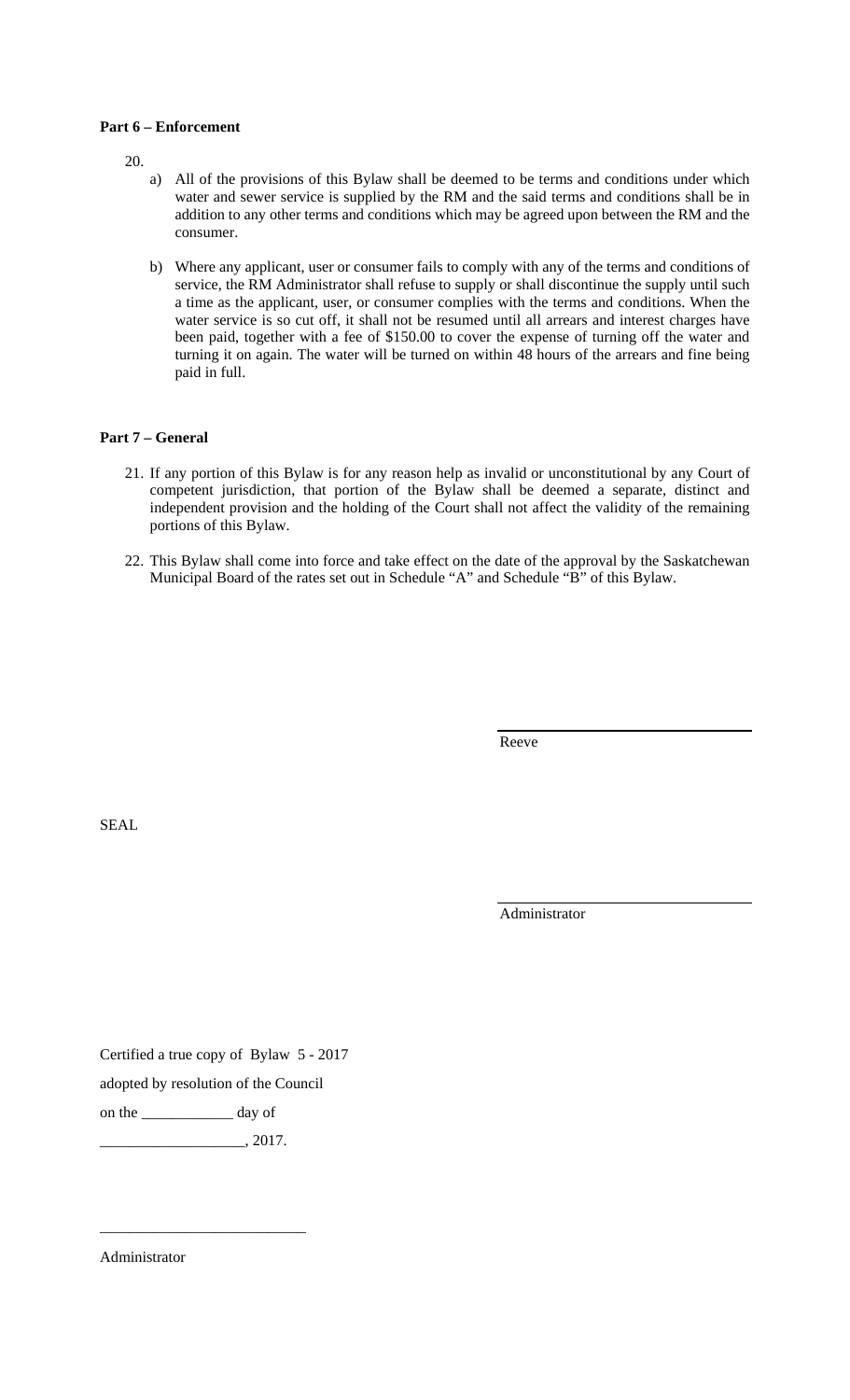### **Part 6 – Enforcement**

20.

- a) All of the provisions of this Bylaw shall be deemed to be terms and conditions under which water and sewer service is supplied by the RM and the said terms and conditions shall be in addition to any other terms and conditions which may be agreed upon between the RM and the consumer.
- b) Where any applicant, user or consumer fails to comply with any of the terms and conditions of service, the RM Administrator shall refuse to supply or shall discontinue the supply until such a time as the applicant, user, or consumer complies with the terms and conditions. When the water service is so cut off, it shall not be resumed until all arrears and interest charges have been paid, together with a fee of \$150.00 to cover the expense of turning off the water and turning it on again. The water will be turned on within 48 hours of the arrears and fine being paid in full.

### **Part 7 – General**

- 21. If any portion of this Bylaw is for any reason help as invalid or unconstitutional by any Court of competent jurisdiction, that portion of the Bylaw shall be deemed a separate, distinct and independent provision and the holding of the Court shall not affect the validity of the remaining portions of this Bylaw.
- 22. This Bylaw shall come into force and take effect on the date of the approval by the Saskatchewan Municipal Board of the rates set out in Schedule "A" and Schedule "B" of this Bylaw.

Reeve

SEAL

Administrator

Certified a true copy of Bylaw 5 - 2017

adopted by resolution of the Council

on the \_\_\_\_\_\_\_\_\_\_\_\_ day of

 $\frac{2017}{\cdot}$ 

\_\_\_\_\_\_\_\_\_\_\_\_\_\_\_\_\_\_\_\_\_\_\_\_\_\_\_

Administrator